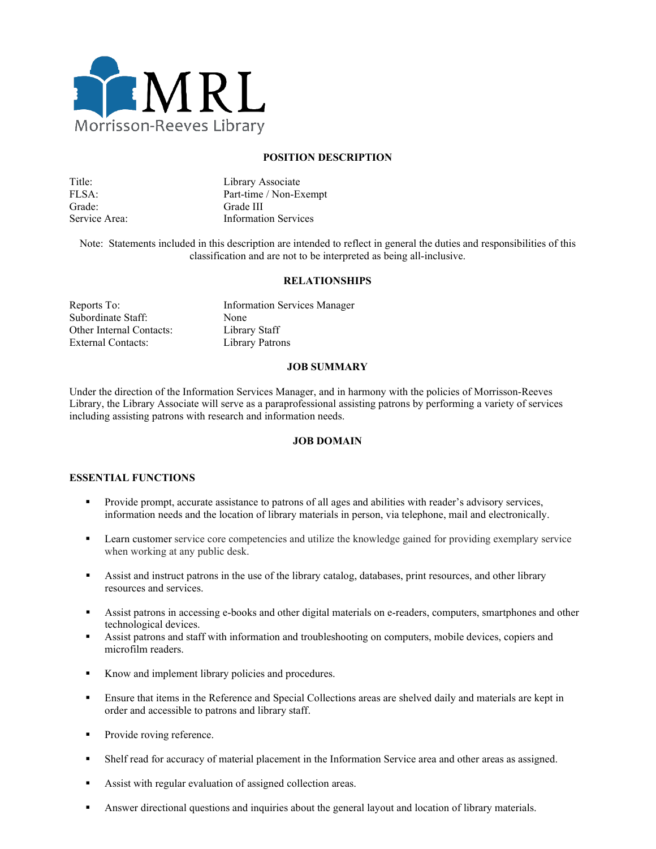

### **POSITION DESCRIPTION**

| Title:        | Library Associate           |
|---------------|-----------------------------|
| FLSA:         | Part-time / Non-Exempt      |
| Grade:        | Grade III                   |
| Service Area: | <b>Information Services</b> |

Note: Statements included in this description are intended to reflect in general the duties and responsibilities of this classification and are not to be interpreted as being all-inclusive.

#### **RELATIONSHIPS**

| Reports To:              | <b>Information Services Manager</b> |
|--------------------------|-------------------------------------|
| Subordinate Staff:       | None                                |
| Other Internal Contacts: | Library Staff                       |
| External Contacts:       | Library Patrons                     |

#### **JOB SUMMARY**

Under the direction of the Information Services Manager, and in harmony with the policies of Morrisson-Reeves Library, the Library Associate will serve as a paraprofessional assisting patrons by performing a variety of services including assisting patrons with research and information needs.

### **JOB DOMAIN**

### **ESSENTIAL FUNCTIONS**

- **Provide prompt, accurate assistance to patrons of all ages and abilities with reader's advisory services,** information needs and the location of library materials in person, via telephone, mail and electronically.
- **Exam customer service core competencies and utilize the knowledge gained for providing exemplary service** when working at any public desk.
- Assist and instruct patrons in the use of the library catalog, databases, print resources, and other library resources and services.
- Assist patrons in accessing e-books and other digital materials on e-readers, computers, smartphones and other technological devices.
- Assist patrons and staff with information and troubleshooting on computers, mobile devices, copiers and microfilm readers.
- Know and implement library policies and procedures.
- Ensure that items in the Reference and Special Collections areas are shelved daily and materials are kept in order and accessible to patrons and library staff.
- Provide roving reference.
- Shelf read for accuracy of material placement in the Information Service area and other areas as assigned.
- Assist with regular evaluation of assigned collection areas.
- Answer directional questions and inquiries about the general layout and location of library materials.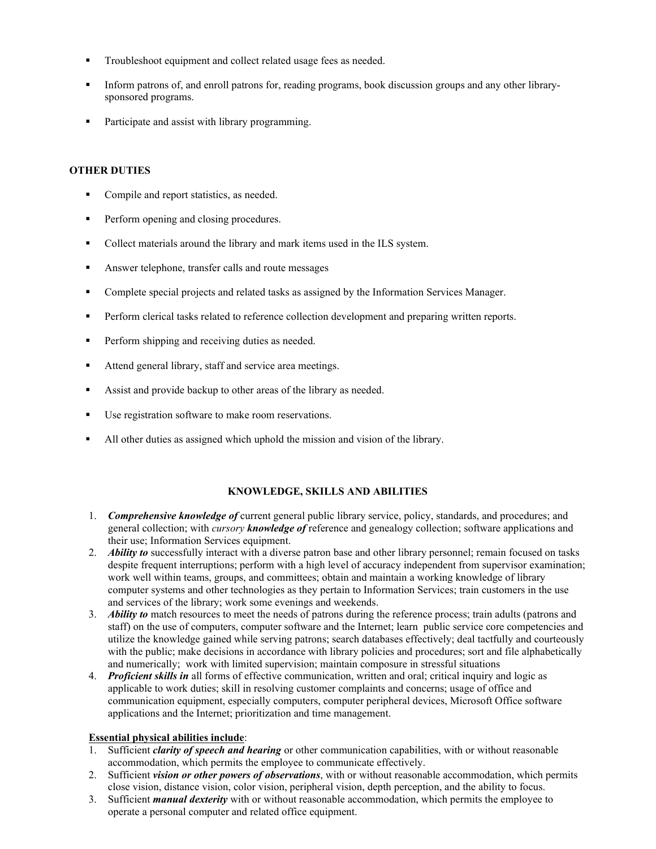- Troubleshoot equipment and collect related usage fees as needed.
- Inform patrons of, and enroll patrons for, reading programs, book discussion groups and any other librarysponsored programs.
- Participate and assist with library programming.

# **OTHER DUTIES**

- Compile and report statistics, as needed.
- Perform opening and closing procedures.
- Collect materials around the library and mark items used in the ILS system.
- **Answer telephone, transfer calls and route messages**
- Complete special projects and related tasks as assigned by the Information Services Manager.
- **Perform clerical tasks related to reference collection development and preparing written reports.**
- **Perform shipping and receiving duties as needed.**
- Attend general library, staff and service area meetings.
- Assist and provide backup to other areas of the library as needed.
- Use registration software to make room reservations.
- All other duties as assigned which uphold the mission and vision of the library.

## **KNOWLEDGE, SKILLS AND ABILITIES**

- 1. *Comprehensive knowledge of* current general public library service, policy, standards, and procedures; and general collection; with *cursory knowledge of* reference and genealogy collection; software applications and their use; Information Services equipment.
- 2. *Ability to* successfully interact with a diverse patron base and other library personnel; remain focused on tasks despite frequent interruptions; perform with a high level of accuracy independent from supervisor examination; work well within teams, groups, and committees; obtain and maintain a working knowledge of library computer systems and other technologies as they pertain to Information Services; train customers in the use and services of the library; work some evenings and weekends.
- 3. *Ability to* match resources to meet the needs of patrons during the reference process; train adults (patrons and staff) on the use of computers, computer software and the Internet; learn public service core competencies and utilize the knowledge gained while serving patrons; search databases effectively; deal tactfully and courteously with the public; make decisions in accordance with library policies and procedures; sort and file alphabetically and numerically; work with limited supervision; maintain composure in stressful situations
- 4. *Proficient skills in* all forms of effective communication, written and oral; critical inquiry and logic as applicable to work duties; skill in resolving customer complaints and concerns; usage of office and communication equipment, especially computers, computer peripheral devices, Microsoft Office software applications and the Internet; prioritization and time management.

## **Essential physical abilities include**:

- 1. Sufficient *clarity of speech and hearing* or other communication capabilities, with or without reasonable accommodation, which permits the employee to communicate effectively.
- 2. Sufficient *vision or other powers of observations*, with or without reasonable accommodation, which permits close vision, distance vision, color vision, peripheral vision, depth perception, and the ability to focus.
- 3. Sufficient *manual dexterity* with or without reasonable accommodation, which permits the employee to operate a personal computer and related office equipment.